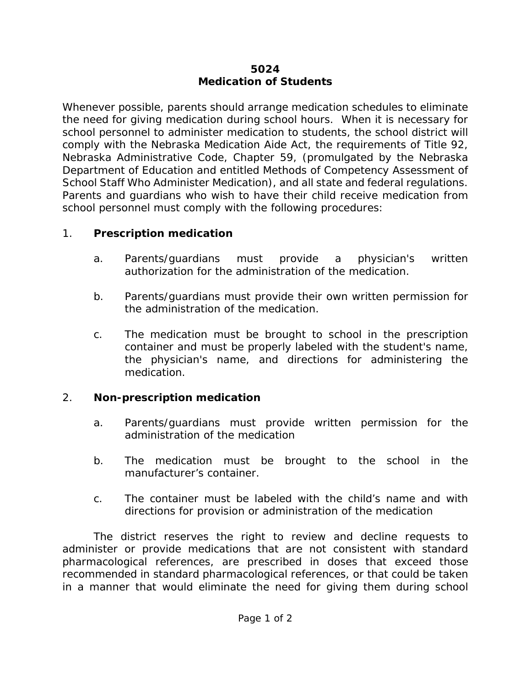## **5024 Medication of Students**

Whenever possible, parents should arrange medication schedules to eliminate the need for giving medication during school hours. When it is necessary for school personnel to administer medication to students, the school district will comply with the Nebraska Medication Aide Act, the requirements of Title 92, Nebraska Administrative Code, Chapter 59, (promulgated by the Nebraska Department of Education and entitled *Methods of Competency Assessment of School Staff Who Administer Medication*), and all state and federal regulations. Parents and guardians who wish to have their child receive medication from school personnel must comply with the following procedures:

## 1. **Prescription medication**

- a. Parents/guardians must provide a physician's written authorization for the administration of the medication.
- b. Parents/guardians must provide their own written permission for the administration of the medication.
- c. The medication must be brought to school in the prescription container and must be properly labeled with the student's name, the physician's name, and directions for administering the medication.

## 2. **Non-prescription medication**

- a. Parents/guardians must provide written permission for the administration of the medication
- b. The medication must be brought to the school in the manufacturer's container.
- c. The container must be labeled with the child's name and with directions for provision or administration of the medication

The district reserves the right to review and decline requests to administer or provide medications that are not consistent with standard pharmacological references, are prescribed in doses that exceed those recommended in standard pharmacological references, or that could be taken in a manner that would eliminate the need for giving them during school